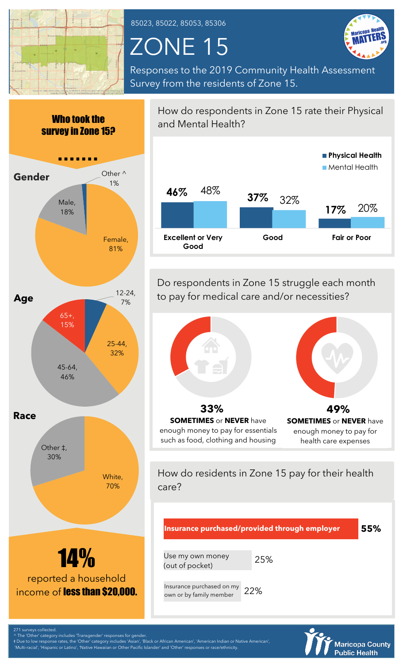

85023, 85022, 85053, 85306

## ZONE 15



Responses to the 2019 Community Health Assessment Survey from the residents of Zone 15.



‡ Due to low response rates, the 'Other' category includes 'Asian', 'Black or African American', 'American Indian or Native American',

'Multi-racial', 'Hispanic or Latino', 'Native Hawaiian or Other Pacific Islander' and 'Other' responses or race/ethnicity.



Do respondents in Zone 15 struggle each month to pay for medical care and/or necessities?



How do residents in Zone 15 pay for their health care?



**Maricopa County Public Health**